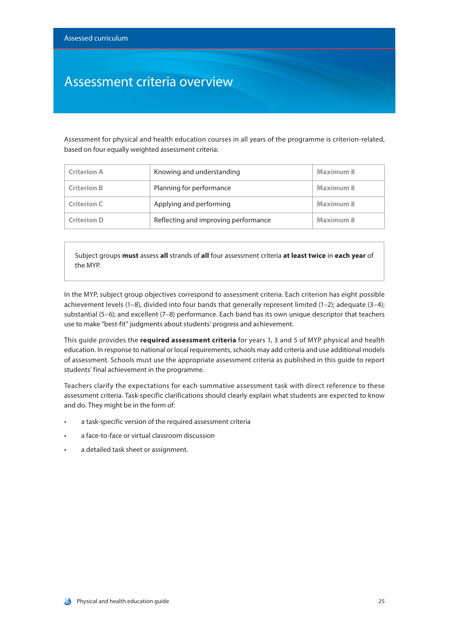### Assessment criteria overview

Assessment for physical and health education courses in all years of the programme is criterion-related, based on four equally weighted assessment criteria:

| <b>Criterion A</b> | Knowing and understanding            | <b>Maximum 8</b> |
|--------------------|--------------------------------------|------------------|
| <b>Criterion B</b> | Planning for performance             | Maximum 8        |
| <b>Criterion C</b> | Applying and performing              | Maximum 8        |
| <b>Criterion D</b> | Reflecting and improving performance | Maximum 8        |

Subject groups **must** assess **all** strands of **all** four assessment criteria **at least twice** in **each year** of the MYP.

In the MYP, subject group objectives correspond to assessment criteria. Each criterion has eight possible achievement levels (1–8), divided into four bands that generally represent limited (1–2); adequate (3–4); substantial (5–6); and excellent (7–8) performance. Each band has its own unique descriptor that teachers use to make "best-fit" judgments about students' progress and achievement.

This guide provides the **required assessment criteria** for years 1, 3 and 5 of MYP physical and health education. In response to national or local requirements, schools may add criteria and use additional models of assessment. Schools must use the appropriate assessment criteria as published in this guide to report students' final achievement in the programme.

Teachers clarify the expectations for each summative assessment task with direct reference to these assessment criteria. Task-specific clarifications should clearly explain what students are expected to know and do. They might be in the form of:

- a task-specific version of the required assessment criteria
- a face-to-face or virtual classroom discussion
- a detailed task sheet or assignment.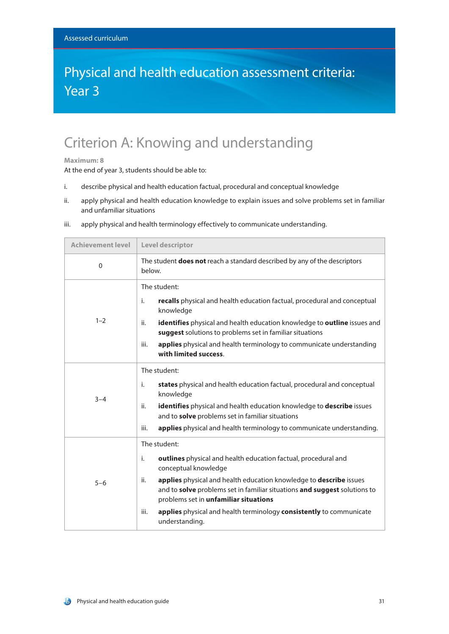### Physical and health education assessment criteria: Year 3

## Criterion A: Knowing and understanding

#### **Maximum: 8**

At the end of year 3, students should be able to:

- i. describe physical and health education factual, procedural and conceptual knowledge
- ii. apply physical and health education knowledge to explain issues and solve problems set in familiar and unfamiliar situations

| <b>Achievement level</b> | Level descriptor                                                                                                                                                                                                                                                                                                                                                                                                 |  |
|--------------------------|------------------------------------------------------------------------------------------------------------------------------------------------------------------------------------------------------------------------------------------------------------------------------------------------------------------------------------------------------------------------------------------------------------------|--|
| $\mathbf{0}$             | The student <b>does not</b> reach a standard described by any of the descriptors<br>below.                                                                                                                                                                                                                                                                                                                       |  |
| $1 - 2$                  | The student:<br>i.<br>recalls physical and health education factual, procedural and conceptual<br>knowledge<br>identifies physical and health education knowledge to outline issues and<br>ii.<br>suggest solutions to problems set in familiar situations<br>applies physical and health terminology to communicate understanding<br>iii.<br>with limited success.                                              |  |
| $3 - 4$                  | The student:<br>states physical and health education factual, procedural and conceptual<br>i.<br>knowledge<br>identifies physical and health education knowledge to describe issues<br>ii.<br>and to solve problems set in familiar situations<br>applies physical and health terminology to communicate understanding.<br>iii.                                                                                  |  |
| $5 - 6$                  | The student:<br>i.<br>outlines physical and health education factual, procedural and<br>conceptual knowledge<br>applies physical and health education knowledge to describe issues<br>ii.<br>and to solve problems set in familiar situations and suggest solutions to<br>problems set in unfamiliar situations<br>applies physical and health terminology consistently to communicate<br>iii.<br>understanding. |  |

iii. apply physical and health terminology effectively to communicate understanding.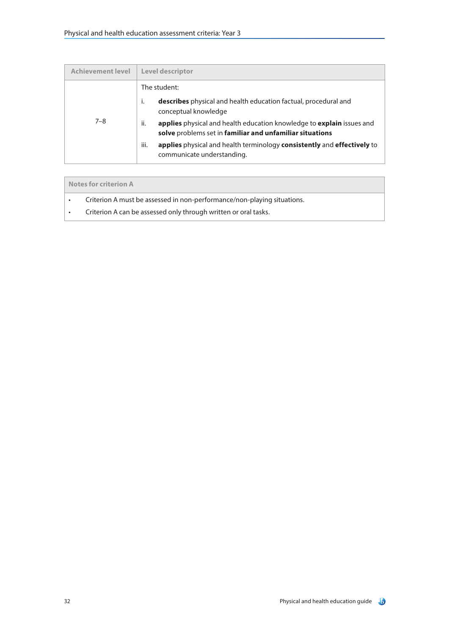| <b>Achievement level</b> | Level descriptor                                                                                                                         |
|--------------------------|------------------------------------------------------------------------------------------------------------------------------------------|
|                          | The student:                                                                                                                             |
| $7 - 8$                  | <b>describes</b> physical and health education factual, procedural and<br>i.<br>conceptual knowledge                                     |
|                          | applies physical and health education knowledge to explain issues and<br>ii.<br>solve problems set in familiar and unfamiliar situations |
|                          | iii.<br>applies physical and health terminology consistently and effectively to<br>communicate understanding.                            |

| Notes for criterion A |                                                                         |
|-----------------------|-------------------------------------------------------------------------|
| $\bullet$             | Criterion A must be assessed in non-performance/non-playing situations. |
|                       | Criterion A can be assessed only through written or oral tasks.         |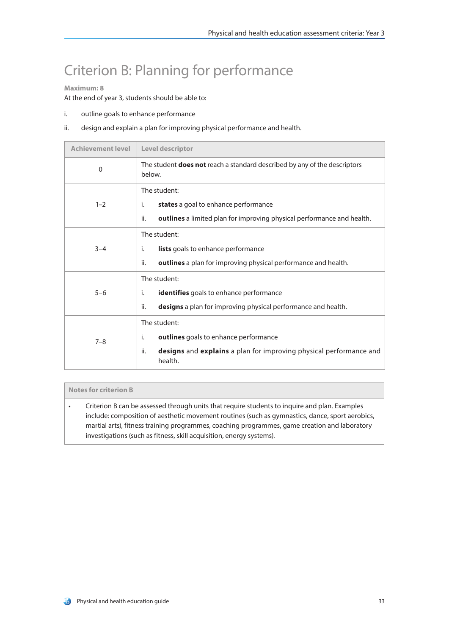## Criterion B: Planning for performance

### **Maximum: 8**

At the end of year 3, students should be able to:

- i. outline goals to enhance performance
- ii. design and explain a plan for improving physical performance and health.

| <b>Achievement level</b> | Level descriptor                                                                                                                                    |
|--------------------------|-----------------------------------------------------------------------------------------------------------------------------------------------------|
| $\Omega$                 | The student <b>does not</b> reach a standard described by any of the descriptors<br>below.                                                          |
| $1 - 2$                  | The student:<br>states a goal to enhance performance<br>j.<br>ii.<br>outlines a limited plan for improving physical performance and health.         |
| $3 - 4$                  | The student:<br>lists goals to enhance performance<br>i.<br>ii.<br><b>outlines</b> a plan for improving physical performance and health.            |
| $5 - 6$                  | The student:<br>identifies goals to enhance performance<br>i.<br>designs a plan for improving physical performance and health.<br>ii.               |
| $7 - 8$                  | The student:<br>outlines goals to enhance performance<br>i.<br>ii.<br>designs and explains a plan for improving physical performance and<br>health. |

### **Notes for criterion B**

• Criterion B can be assessed through units that require students to inquire and plan. Examples include: composition of aesthetic movement routines (such as gymnastics, dance, sport aerobics, martial arts), fitness training programmes, coaching programmes, game creation and laboratory investigations (such as fitness, skill acquisition, energy systems).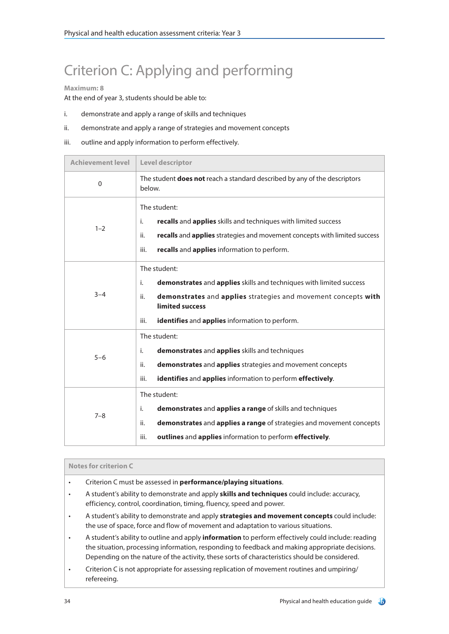# Criterion C: Applying and performing

### **Maximum: 8**

At the end of year 3, students should be able to:

- i. demonstrate and apply a range of skills and techniques
- ii. demonstrate and apply a range of strategies and movement concepts
- iii. outline and apply information to perform effectively.

| <b>Achievement level</b> | Level descriptor                                                                                                                                                                                                                                |  |
|--------------------------|-------------------------------------------------------------------------------------------------------------------------------------------------------------------------------------------------------------------------------------------------|--|
| $\Omega$                 | The student does not reach a standard described by any of the descriptors<br>below.                                                                                                                                                             |  |
| $1 - 2$                  | The student:<br>recalls and applies skills and techniques with limited success<br>i.<br>recalls and applies strategies and movement concepts with limited success<br>ii.                                                                        |  |
|                          | iii.<br>recalls and applies information to perform.                                                                                                                                                                                             |  |
| $3 - 4$                  | The student:<br>demonstrates and applies skills and techniques with limited success<br>i.<br>demonstrates and applies strategies and movement concepts with<br>ii.<br>limited success<br>identifies and applies information to perform.<br>iii. |  |
| $5 - 6$                  | The student:<br>demonstrates and applies skills and techniques<br>i.<br>ii.<br>demonstrates and applies strategies and movement concepts<br>iii.<br>identifies and applies information to perform effectively.                                  |  |
| $7 - 8$                  | The student:<br>demonstrates and applies a range of skills and techniques<br>i.<br>demonstrates and applies a range of strategies and movement concepts<br>ii.<br>outlines and applies information to perform effectively.<br>iii.              |  |

### **Notes for criterion C**

- Criterion C must be assessed in **performance/playing situations**.
- A student's ability to demonstrate and apply **skills and techniques** could include: accuracy, efficiency, control, coordination, timing, fluency, speed and power.
- A student's ability to demonstrate and apply **strategies and movement concepts** could include: the use of space, force and flow of movement and adaptation to various situations.
- A student's ability to outline and apply **information** to perform effectively could include: reading the situation, processing information, responding to feedback and making appropriate decisions. Depending on the nature of the activity, these sorts of characteristics should be considered.
- Criterion C is not appropriate for assessing replication of movement routines and umpiring/ refereeing.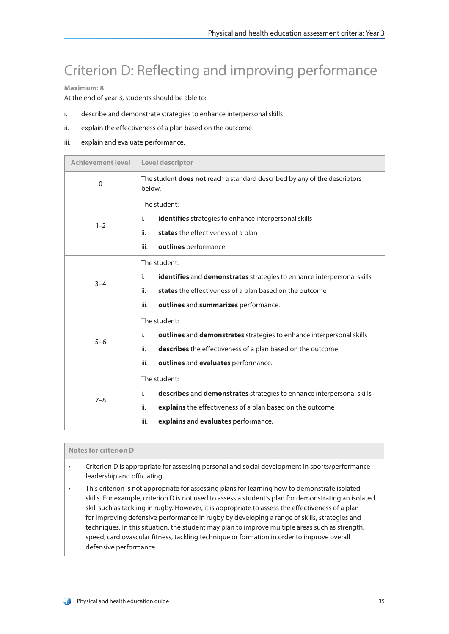## Criterion D: Reflecting and improving performance

### **Maximum: 8**

At the end of year 3, students should be able to:

- i. describe and demonstrate strategies to enhance interpersonal skills
- ii. explain the effectiveness of a plan based on the outcome
- iii. explain and evaluate performance.

| <b>Achievement level</b> | Level descriptor                                                                           |  |
|--------------------------|--------------------------------------------------------------------------------------------|--|
| $\Omega$                 | The student <b>does not</b> reach a standard described by any of the descriptors<br>below. |  |
|                          | The student:                                                                               |  |
| $1 - 2$                  | i.<br><b>identifies</b> strategies to enhance interpersonal skills                         |  |
|                          | states the effectiveness of a plan<br>ii.                                                  |  |
|                          | outlines performance.<br>iii.                                                              |  |
|                          | The student:                                                                               |  |
| $3 - 4$                  | <b>identifies</b> and <b>demonstrates</b> strategies to enhance interpersonal skills<br>i. |  |
|                          | states the effectiveness of a plan based on the outcome<br>ii.                             |  |
|                          | outlines and summarizes performance.<br>iii.                                               |  |
|                          | The student:                                                                               |  |
| $5 - 6$                  | outlines and demonstrates strategies to enhance interpersonal skills<br>i.                 |  |
|                          | describes the effectiveness of a plan based on the outcome<br>ii.                          |  |
|                          | outlines and evaluates performance.<br>iii.                                                |  |
| $7 - 8$                  | The student:                                                                               |  |
|                          | i.<br>describes and demonstrates strategies to enhance interpersonal skills                |  |
|                          | explains the effectiveness of a plan based on the outcome<br>ii.                           |  |
|                          | explains and evaluates performance.<br>iii.                                                |  |

### **Notes for criterion D**

- Criterion D is appropriate for assessing personal and social development in sports/performance leadership and officiating.
- This criterion is not appropriate for assessing plans for learning how to demonstrate isolated skills. For example, criterion D is not used to assess a student's plan for demonstrating an isolated skill such as tackling in rugby. However, it is appropriate to assess the effectiveness of a plan for improving defensive performance in rugby by developing a range of skills, strategies and techniques. In this situation, the student may plan to improve multiple areas such as strength, speed, cardiovascular fitness, tackling technique or formation in order to improve overall defensive performance.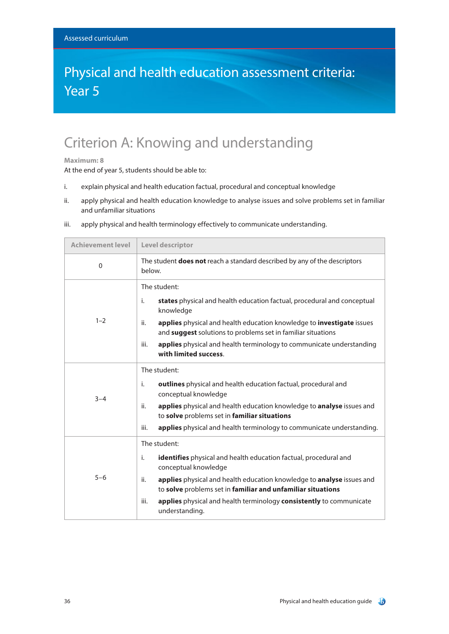### Physical and health education assessment criteria: Year 5

## Criterion A: Knowing and understanding

#### **Maximum: 8**

At the end of year 5, students should be able to:

- i. explain physical and health education factual, procedural and conceptual knowledge
- ii. apply physical and health education knowledge to analyse issues and solve problems set in familiar and unfamiliar situations

| <b>Achievement level</b> | Level descriptor                                                                                                                                                                                                                                                                                                                                                      |  |
|--------------------------|-----------------------------------------------------------------------------------------------------------------------------------------------------------------------------------------------------------------------------------------------------------------------------------------------------------------------------------------------------------------------|--|
| $\Omega$                 | The student <b>does not</b> reach a standard described by any of the descriptors<br>below.                                                                                                                                                                                                                                                                            |  |
| $1 - 2$                  | The student:<br>states physical and health education factual, procedural and conceptual<br>i.<br>knowledge<br>applies physical and health education knowledge to investigate issues<br>ii.<br>and suggest solutions to problems set in familiar situations<br>applies physical and health terminology to communicate understanding<br>iii.<br>with limited success.   |  |
| $3 - 4$                  | The student:<br>outlines physical and health education factual, procedural and<br>i.<br>conceptual knowledge<br>applies physical and health education knowledge to analyse issues and<br>ii.<br>to solve problems set in familiar situations<br>applies physical and health terminology to communicate understanding.<br>iii.                                         |  |
| $5 - 6$                  | The student:<br>i.<br><b>identifies</b> physical and health education factual, procedural and<br>conceptual knowledge<br>applies physical and health education knowledge to analyse issues and<br>ii.<br>to solve problems set in familiar and unfamiliar situations<br>applies physical and health terminology consistently to communicate<br>iii.<br>understanding. |  |

iii. apply physical and health terminology effectively to communicate understanding.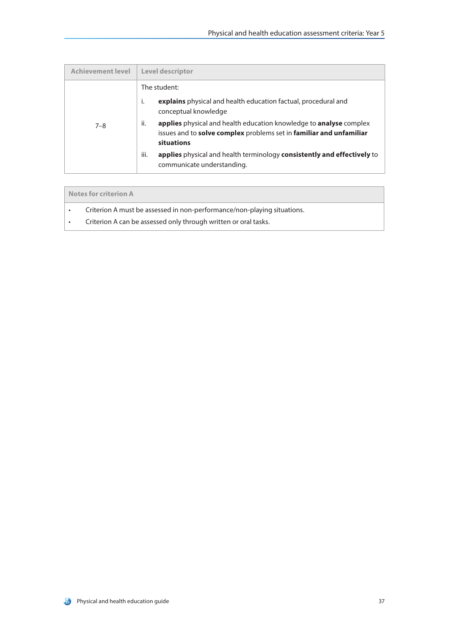| <b>Achievement level</b> | <b>Level descriptor</b>                                                                                                                                                      |
|--------------------------|------------------------------------------------------------------------------------------------------------------------------------------------------------------------------|
| $7 - 8$                  | The student:                                                                                                                                                                 |
|                          | j.<br>explains physical and health education factual, procedural and<br>conceptual knowledge                                                                                 |
|                          | ii.<br><b>applies</b> physical and health education knowledge to <b>analyse</b> complex<br>issues and to solve complex problems set in familiar and unfamiliar<br>situations |
|                          | iii.<br>applies physical and health terminology consistently and effectively to<br>communicate understanding.                                                                |

| Notes for criterion A                                                   |  |
|-------------------------------------------------------------------------|--|
| Criterion A must be assessed in non-performance/non-playing situations. |  |
| Criterion A can be assessed only through written or oral tasks.         |  |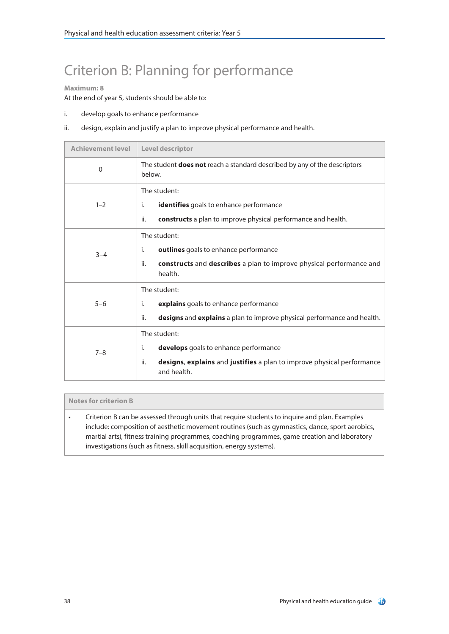# Criterion B: Planning for performance

### **Maximum: 8**

At the end of year 5, students should be able to:

- i. develop goals to enhance performance
- ii. design, explain and justify a plan to improve physical performance and health.

| <b>Achievement level</b> | Level descriptor                                                                                                                                            |
|--------------------------|-------------------------------------------------------------------------------------------------------------------------------------------------------------|
| $\mathbf{0}$             | The student <b>does not</b> reach a standard described by any of the descriptors<br>below.                                                                  |
| $1 - 2$                  | The student:<br>identifies goals to enhance performance<br>i.<br>constructs a plan to improve physical performance and health.<br>ii.                       |
| $3 - 4$                  | The student:<br>outlines goals to enhance performance<br>i.<br>constructs and describes a plan to improve physical performance and<br>ii.<br>health.        |
| $5 - 6$                  | The student:<br>explains goals to enhance performance<br>i.<br>ii.<br>designs and explains a plan to improve physical performance and health.               |
| $7 - 8$                  | The student:<br>i.<br>develops goals to enhance performance<br>ii.<br>designs, explains and justifies a plan to improve physical performance<br>and health. |

### **Notes for criterion B**

• Criterion B can be assessed through units that require students to inquire and plan. Examples include: composition of aesthetic movement routines (such as gymnastics, dance, sport aerobics, martial arts), fitness training programmes, coaching programmes, game creation and laboratory investigations (such as fitness, skill acquisition, energy systems).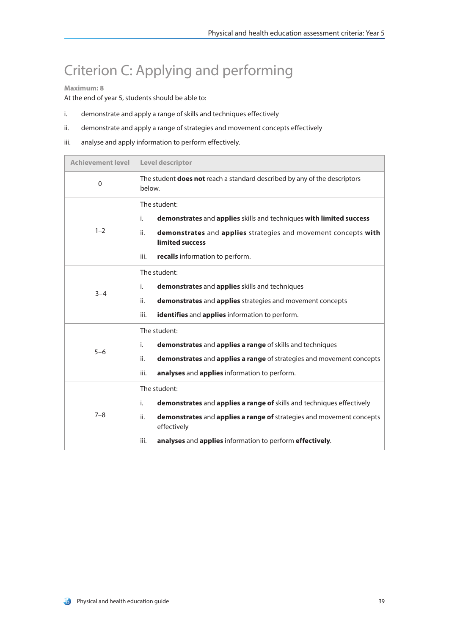## Criterion C: Applying and performing

### **Maximum: 8**

At the end of year 5, students should be able to:

- i. demonstrate and apply a range of skills and techniques effectively
- ii. demonstrate and apply a range of strategies and movement concepts effectively
- iii. analyse and apply information to perform effectively.

| <b>Achievement level</b> | Level descriptor                                                                                                                                                                                                                                              |  |
|--------------------------|---------------------------------------------------------------------------------------------------------------------------------------------------------------------------------------------------------------------------------------------------------------|--|
| $\Omega$                 | The student <b>does not</b> reach a standard described by any of the descriptors<br>below.                                                                                                                                                                    |  |
| $1 - 2$                  | The student:<br>demonstrates and applies skills and techniques with limited success<br>i.<br>demonstrates and applies strategies and movement concepts with<br>ii.<br>limited success<br>recalls information to perform.<br>iii.                              |  |
| $3 - 4$                  | The student:<br>demonstrates and applies skills and techniques<br>i.<br>demonstrates and applies strategies and movement concepts<br>ii.<br>iii.<br>identifies and applies information to perform.                                                            |  |
| $5 - 6$                  | The student:<br>demonstrates and applies a range of skills and techniques<br>i.<br>ii.<br>demonstrates and applies a range of strategies and movement concepts<br>iii.<br>analyses and applies information to perform.                                        |  |
| $7 - 8$                  | The student:<br>demonstrates and applies a range of skills and techniques effectively<br>i.<br>demonstrates and applies a range of strategies and movement concepts<br>ii.<br>effectively<br>analyses and applies information to perform effectively.<br>iii. |  |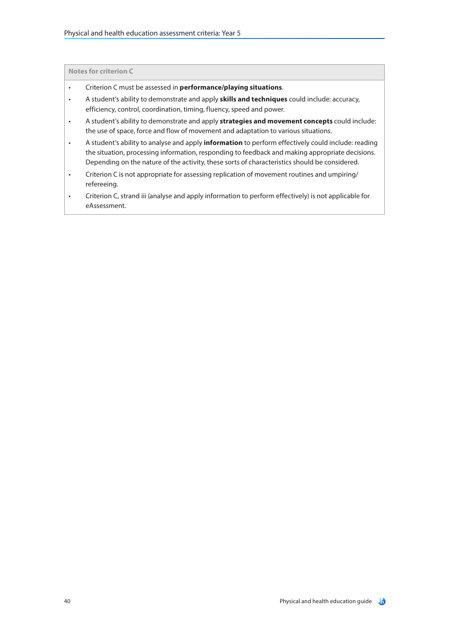**Notes for criterion C**

- Criterion C must be assessed in **performance/playing situations**.
- A student's ability to demonstrate and apply **skills and techniques** could include: accuracy, efficiency, control, coordination, timing, fluency, speed and power.
- A student's ability to demonstrate and apply **strategies and movement concepts** could include: the use of space, force and flow of movement and adaptation to various situations.
- A student's ability to analyse and apply **information** to perform effectively could include: reading the situation, processing information, responding to feedback and making appropriate decisions. Depending on the nature of the activity, these sorts of characteristics should be considered.
- Criterion C is not appropriate for assessing replication of movement routines and umpiring/ refereeing.
- Criterion C, strand iii (analyse and apply information to perform effectively) is not applicable for eAssessment.